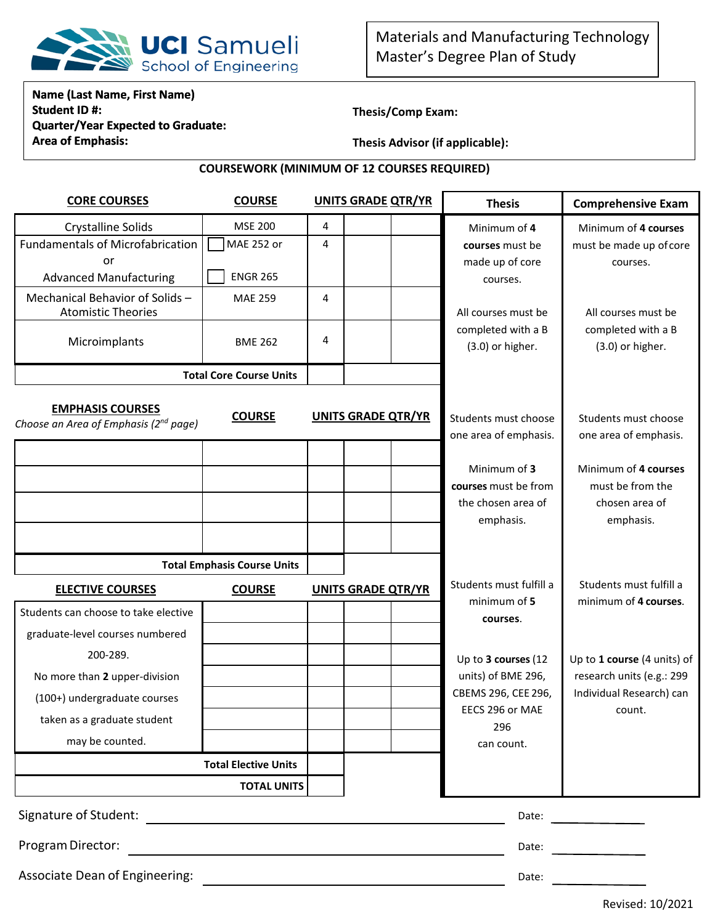

## **Name (Last Name, First Name) Student ID #: Quarter/Year Expected to Graduate: Area of Emphasis:**

**Thesis/Comp Exam:** 

**Thesis Advisor (if applicable):** 

## **COURSEWORK (MINIMUM OF 12 COURSES REQUIRED)**

| <b>CORE COURSES</b>                                                          | <b>COURSE</b>                  | <b>UNITS GRADE QTR/YR</b> |                           | <b>Thesis</b>            | <b>Comprehensive Exam</b>                |
|------------------------------------------------------------------------------|--------------------------------|---------------------------|---------------------------|--------------------------|------------------------------------------|
| <b>Crystalline Solids</b>                                                    | <b>MSE 200</b>                 | 4                         |                           | Minimum of 4             | Minimum of 4 courses                     |
| <b>Fundamentals of Microfabrication</b>                                      | MAE 252 or                     | 4                         |                           | courses must be          | must be made up of core                  |
| or                                                                           |                                |                           |                           | made up of core          | courses.                                 |
| <b>Advanced Manufacturing</b>                                                | <b>ENGR 265</b>                |                           |                           | courses.                 |                                          |
| Mechanical Behavior of Solids -<br><b>Atomistic Theories</b>                 | <b>MAE 259</b>                 | 4                         |                           | All courses must be      | All courses must be                      |
|                                                                              |                                |                           |                           | completed with a B       | completed with a B                       |
| Microimplants                                                                | <b>BME 262</b>                 | 4                         |                           | (3.0) or higher.         | (3.0) or higher.                         |
|                                                                              | <b>Total Core Course Units</b> |                           |                           |                          |                                          |
|                                                                              |                                |                           |                           |                          |                                          |
| <b>EMPHASIS COURSES</b><br>Choose an Area of Emphasis (2 <sup>nd</sup> page) | <b>COURSE</b>                  |                           | <b>UNITS GRADE QTR/YR</b> | Students must choose     | Students must choose                     |
|                                                                              |                                |                           |                           | one area of emphasis.    | one area of emphasis.                    |
|                                                                              |                                |                           |                           | Minimum of 3             |                                          |
|                                                                              |                                |                           |                           | courses must be from     | Minimum of 4 courses<br>must be from the |
|                                                                              |                                |                           |                           | the chosen area of       | chosen area of                           |
|                                                                              |                                |                           |                           | emphasis.                | emphasis.                                |
|                                                                              |                                |                           |                           |                          |                                          |
| <b>Total Emphasis Course Units</b>                                           |                                |                           |                           |                          |                                          |
| <b>ELECTIVE COURSES</b>                                                      | <b>COURSE</b>                  |                           | <b>UNITS GRADE QTR/YR</b> | Students must fulfill a  | Students must fulfill a                  |
| Students can choose to take elective                                         |                                |                           |                           | minimum of 5<br>courses. | minimum of 4 courses.                    |
| graduate-level courses numbered                                              |                                |                           |                           |                          |                                          |
| 200-289.                                                                     |                                |                           |                           | Up to 3 courses (12      | Up to 1 course (4 units) of              |
| No more than 2 upper-division                                                |                                |                           |                           | units) of BME 296,       | research units (e.g.: 299                |
| (100+) undergraduate courses                                                 |                                |                           |                           | CBEMS 296, CEE 296,      | Individual Research) can                 |
| taken as a graduate student                                                  |                                |                           |                           | EECS 296 or MAE          | count.                                   |
|                                                                              |                                |                           |                           | 296                      |                                          |
| may be counted.                                                              |                                |                           |                           | can count.               |                                          |
|                                                                              | <b>Total Elective Units</b>    |                           |                           |                          |                                          |
|                                                                              | <b>TOTAL UNITS</b>             |                           |                           |                          |                                          |
| Signature of Student:                                                        |                                |                           | Date:                     |                          |                                          |
| Program Director:                                                            |                                |                           |                           | Date:                    |                                          |
| Associate Dean of Engineering:                                               |                                |                           |                           | Date:                    |                                          |